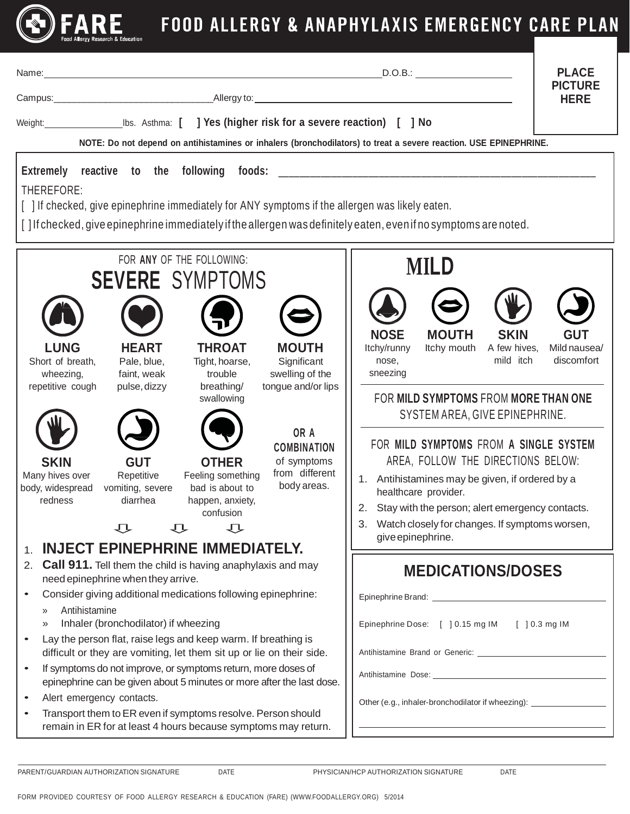

## **(S) FARE** FOOD ALLERGY & ANAPHYLAXIS EMERGENCY CARE PLAN

| Name:<br>NOTE: Do not depend on antihistamines or inhalers (bronchodilators) to treat a severe reaction. USE EPINEPHRINE.<br>Extremely reactive to the following<br>foods:<br>THEREFORE:<br>[ ] If checked, give epinephrine immediately for ANY symptoms if the allergen was likely eaten.<br>[] If checked, give epinephrine immediately if the allergen was definitely eaten, even if no symptoms are noted.                                                                                                                                                                                                                                                                                                                                                     | D.O.B.:                                                                                                                                                                                                                                                                                                                                                                                                                                                                                                              | <b>PLACE</b><br><b>PICTURE</b><br><b>HERE</b> |
|---------------------------------------------------------------------------------------------------------------------------------------------------------------------------------------------------------------------------------------------------------------------------------------------------------------------------------------------------------------------------------------------------------------------------------------------------------------------------------------------------------------------------------------------------------------------------------------------------------------------------------------------------------------------------------------------------------------------------------------------------------------------|----------------------------------------------------------------------------------------------------------------------------------------------------------------------------------------------------------------------------------------------------------------------------------------------------------------------------------------------------------------------------------------------------------------------------------------------------------------------------------------------------------------------|-----------------------------------------------|
| FOR ANY OF THE FOLLOWING:<br><b>SEVERE SYMPTOMS</b><br><b>LUNG</b><br><b>HEART</b><br><b>THROAT</b><br><b>MOUTH</b><br>Short of breath,<br>Pale, blue,<br>Tight, hoarse,<br>Significant<br>faint, weak<br>trouble<br>swelling of the<br>wheezing,<br>repetitive cough<br>breathing/<br>tongue and/or lips<br>pulse, dizzy<br>swallowing<br>OR A<br><b>COMBINATION</b><br><b>OTHER</b><br>of symptoms<br><b>SKIN</b><br><b>GUT</b><br>from different<br>Many hives over<br>Repetitive<br>Feeling something<br>body areas.<br>bad is about to<br>body, widespread<br>vomiting, severe<br>redness<br>diarrhea<br>happen, anxiety,<br>confusion<br>乜<br>乜<br>乜                                                                                                          | <b>MILD</b><br><b>NOSE</b><br><b>MOUTH</b><br><b>SKIN</b><br>Itchy/runny<br>Itchy mouth<br>A few hives,<br>mild itch<br>nose,<br>sneezing<br>FOR MILD SYMPTOMS FROM MORE THAN ONE<br>SYSTEM AREA, GIVE EPINEPHRINE.<br>FOR MILD SYMPTOMS FROM A SINGLE SYSTEM<br>AREA, FOLLOW THE DIRECTIONS BELOW:<br>1. Antihistamines may be given, if ordered by a<br>healthcare provider.<br>Stay with the person; alert emergency contacts.<br>2.<br>Watch closely for changes. If symptoms worsen,<br>3.<br>give epinephrine. | <b>GUT</b><br>Mild nausea/<br>discomfort      |
| <b>INJECT EPINEPHRINE IMMEDIATELY.</b><br>1.<br><b>Call 911.</b> Tell them the child is having anaphylaxis and may<br>2.<br>need epinephrine when they arrive.<br>Consider giving additional medications following epinephrine:<br>Antihistamine<br>»<br>Inhaler (bronchodilator) if wheezing<br>»<br>Lay the person flat, raise legs and keep warm. If breathing is<br>difficult or they are vomiting, let them sit up or lie on their side.<br>If symptoms do not improve, or symptoms return, more doses of<br>epinephrine can be given about 5 minutes or more after the last dose.<br>Alert emergency contacts.<br>$\bullet$<br>Transport them to ER even if symptoms resolve. Person should<br>remain in ER for at least 4 hours because symptoms may return. | <b>MEDICATIONS/DOSES</b><br>Epinephrine Dose: [ ] 0.15 mg IM [ ] 0.3 mg IM<br>Other (e.g., inhaler-bronchodilator if wheezing): ______________________________<br><u> 1989 - Johann Barn, amerikansk politiker (d. 1989)</u>                                                                                                                                                                                                                                                                                         |                                               |